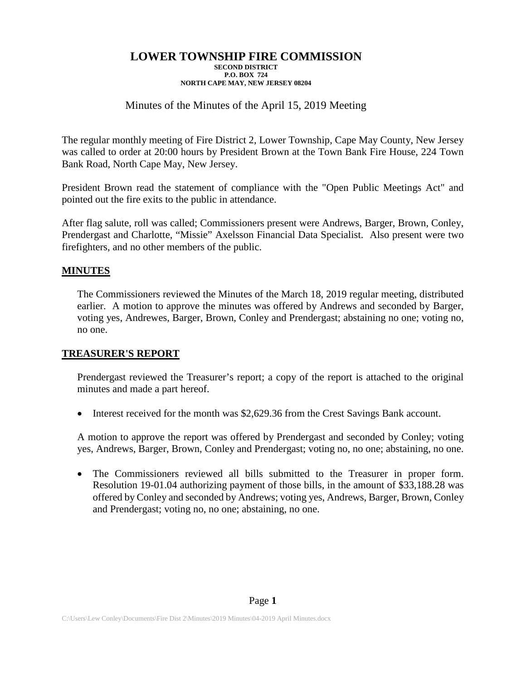#### **LOWER TOWNSHIP FIRE COMMISSION SECOND DISTRICT P.O. BOX 724 NORTH CAPE MAY, NEW JERSEY 08204**

# Minutes of the Minutes of the April 15, 2019 Meeting

The regular monthly meeting of Fire District 2, Lower Township, Cape May County, New Jersey was called to order at 20:00 hours by President Brown at the Town Bank Fire House, 224 Town Bank Road, North Cape May, New Jersey.

President Brown read the statement of compliance with the "Open Public Meetings Act" and pointed out the fire exits to the public in attendance.

After flag salute, roll was called; Commissioners present were Andrews, Barger, Brown, Conley, Prendergast and Charlotte, "Missie" Axelsson Financial Data Specialist. Also present were two firefighters, and no other members of the public.

### **MINUTES**

The Commissioners reviewed the Minutes of the March 18, 2019 regular meeting, distributed earlier. A motion to approve the minutes was offered by Andrews and seconded by Barger, voting yes, Andrewes, Barger, Brown, Conley and Prendergast; abstaining no one; voting no, no one.

### **TREASURER'S REPORT**

Prendergast reviewed the Treasurer's report; a copy of the report is attached to the original minutes and made a part hereof.

Interest received for the month was \$2,629.36 from the Crest Savings Bank account.

A motion to approve the report was offered by Prendergast and seconded by Conley; voting yes, Andrews, Barger, Brown, Conley and Prendergast; voting no, no one; abstaining, no one.

• The Commissioners reviewed all bills submitted to the Treasurer in proper form. Resolution 19-01.04 authorizing payment of those bills, in the amount of \$33,188.28 was offered by Conley and seconded by Andrews; voting yes, Andrews, Barger, Brown, Conley and Prendergast; voting no, no one; abstaining, no one.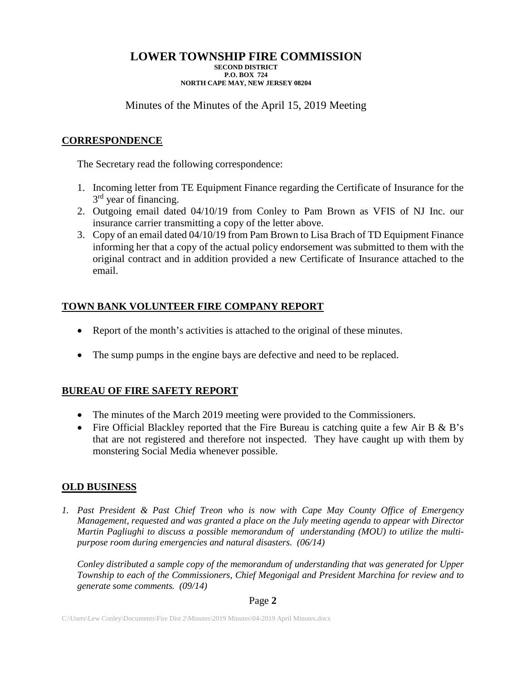# **LOWER TOWNSHIP FIRE COMMISSION**

**SECOND DISTRICT P.O. BOX 724 NORTH CAPE MAY, NEW JERSEY 08204**

Minutes of the Minutes of the April 15, 2019 Meeting

# **CORRESPONDENCE**

The Secretary read the following correspondence:

- 1. Incoming letter from TE Equipment Finance regarding the Certificate of Insurance for the 3<sup>rd</sup> year of financing.
- 2. Outgoing email dated 04/10/19 from Conley to Pam Brown as VFIS of NJ Inc. our insurance carrier transmitting a copy of the letter above.
- 3. Copy of an email dated 04/10/19 from Pam Brown to Lisa Brach of TD Equipment Finance informing her that a copy of the actual policy endorsement was submitted to them with the original contract and in addition provided a new Certificate of Insurance attached to the email.

# **TOWN BANK VOLUNTEER FIRE COMPANY REPORT**

- Report of the month's activities is attached to the original of these minutes.
- The sump pumps in the engine bays are defective and need to be replaced.

# **BUREAU OF FIRE SAFETY REPORT**

- The minutes of the March 2019 meeting were provided to the Commissioners.
- Fire Official Blackley reported that the Fire Bureau is catching quite a few Air B & B's that are not registered and therefore not inspected. They have caught up with them by monstering Social Media whenever possible.

# **OLD BUSINESS**

*1. Past President & Past Chief Treon who is now with Cape May County Office of Emergency Management, requested and was granted a place on the July meeting agenda to appear with Director Martin Pagliughi to discuss a possible memorandum of understanding (MOU) to utilize the multipurpose room during emergencies and natural disasters. (06/14)*

*Conley distributed a sample copy of the memorandum of understanding that was generated for Upper Township to each of the Commissioners, Chief Megonigal and President Marchina for review and to generate some comments. (09/14)*

### Page **2**

C:\Users\Lew Conley\Documents\Fire Dist 2\Minutes\2019 Minutes\04-2019 April Minutes.docx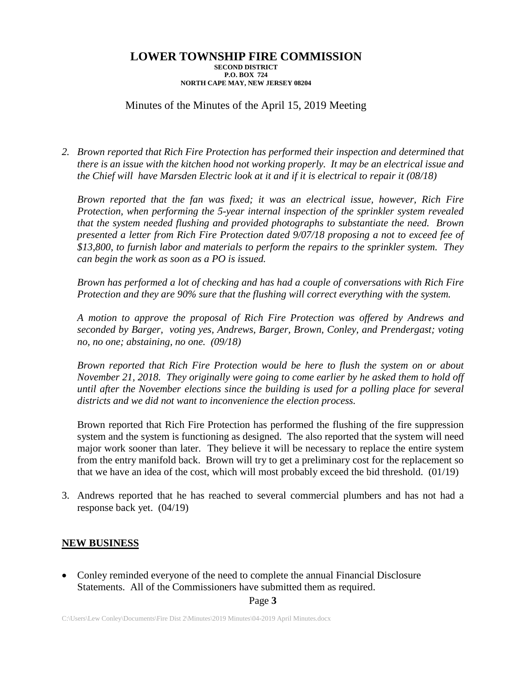#### **LOWER TOWNSHIP FIRE COMMISSION SECOND DISTRICT P.O. BOX 724 NORTH CAPE MAY, NEW JERSEY 08204**

# Minutes of the Minutes of the April 15, 2019 Meeting

*2. Brown reported that Rich Fire Protection has performed their inspection and determined that there is an issue with the kitchen hood not working properly. It may be an electrical issue and the Chief will have Marsden Electric look at it and if it is electrical to repair it (08/18)*

*Brown reported that the fan was fixed; it was an electrical issue, however, Rich Fire Protection, when performing the 5-year internal inspection of the sprinkler system revealed that the system needed flushing and provided photographs to substantiate the need. Brown presented a letter from Rich Fire Protection dated 9/07/18 proposing a not to exceed fee of \$13,800, to furnish labor and materials to perform the repairs to the sprinkler system. They can begin the work as soon as a PO is issued.*

*Brown has performed a lot of checking and has had a couple of conversations with Rich Fire Protection and they are 90% sure that the flushing will correct everything with the system.*

*A motion to approve the proposal of Rich Fire Protection was offered by Andrews and seconded by Barger, voting yes, Andrews, Barger, Brown, Conley, and Prendergast; voting no, no one; abstaining, no one. (09/18)*

*Brown reported that Rich Fire Protection would be here to flush the system on or about November 21, 2018. They originally were going to come earlier by he asked them to hold off until after the November elections since the building is used for a polling place for several districts and we did not want to inconvenience the election process.*

Brown reported that Rich Fire Protection has performed the flushing of the fire suppression system and the system is functioning as designed. The also reported that the system will need major work sooner than later. They believe it will be necessary to replace the entire system from the entry manifold back. Brown will try to get a preliminary cost for the replacement so that we have an idea of the cost, which will most probably exceed the bid threshold. (01/19)

3. Andrews reported that he has reached to several commercial plumbers and has not had a response back yet. (04/19)

#### **NEW BUSINESS**

• Conley reminded everyone of the need to complete the annual Financial Disclosure Statements. All of the Commissioners have submitted them as required.

Page **3**

C:\Users\Lew Conley\Documents\Fire Dist 2\Minutes\2019 Minutes\04-2019 April Minutes.docx